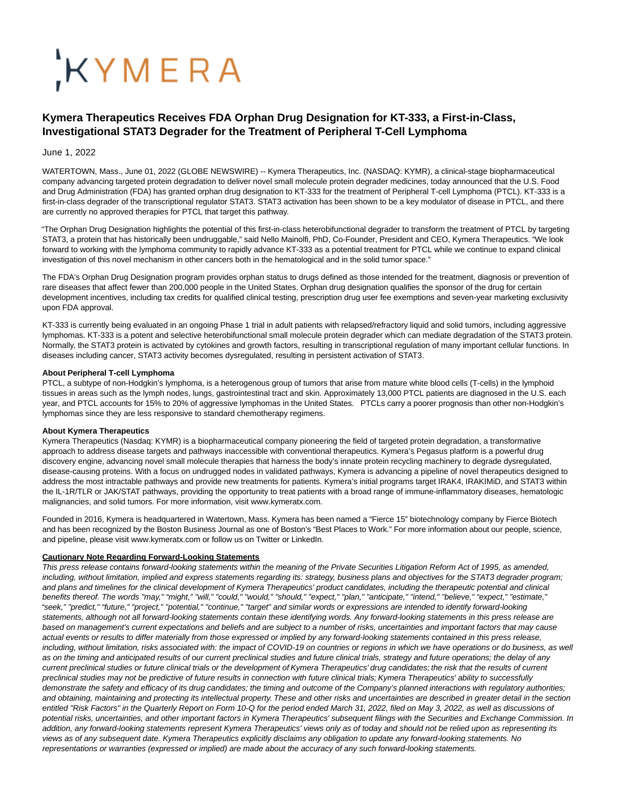# KYMERA

## **Kymera Therapeutics Receives FDA Orphan Drug Designation for KT-333, a First-in-Class, Investigational STAT3 Degrader for the Treatment of Peripheral T-Cell Lymphoma**

### June 1, 2022

WATERTOWN, Mass., June 01, 2022 (GLOBE NEWSWIRE) -- Kymera Therapeutics, Inc. (NASDAQ: KYMR), a clinical-stage biopharmaceutical company advancing targeted protein degradation to deliver novel small molecule protein degrader medicines, today announced that the U.S. Food and Drug Administration (FDA) has granted orphan drug designation to KT-333 for the treatment of Peripheral T-cell Lymphoma (PTCL). KT-333 is a first-in-class degrader of the transcriptional regulator STAT3. STAT3 activation has been shown to be a key modulator of disease in PTCL, and there are currently no approved therapies for PTCL that target this pathway.

"The Orphan Drug Designation highlights the potential of this first-in-class heterobifunctional degrader to transform the treatment of PTCL by targeting STAT3, a protein that has historically been undruggable," said Nello Mainolfi, PhD, Co-Founder, President and CEO, Kymera Therapeutics. "We look forward to working with the lymphoma community to rapidly advance KT-333 as a potential treatment for PTCL while we continue to expand clinical investigation of this novel mechanism in other cancers both in the hematological and in the solid tumor space."

The FDA's Orphan Drug Designation program provides orphan status to drugs defined as those intended for the treatment, diagnosis or prevention of rare diseases that affect fewer than 200,000 people in the United States. Orphan drug designation qualifies the sponsor of the drug for certain development incentives, including tax credits for qualified clinical testing, prescription drug user fee exemptions and seven-year marketing exclusivity upon FDA approval.

KT-333 is currently being evaluated in an ongoing Phase 1 trial in adult patients with relapsed/refractory liquid and solid tumors, including aggressive lymphomas. KT-333 is a potent and selective heterobifunctional small molecule protein degrader which can mediate degradation of the STAT3 protein. Normally, the STAT3 protein is activated by cytokines and growth factors, resulting in transcriptional regulation of many important cellular functions. In diseases including cancer, STAT3 activity becomes dysregulated, resulting in persistent activation of STAT3.

#### **About Peripheral T-cell Lymphoma**

PTCL, a subtype of non-Hodgkin's lymphoma, is a heterogenous group of tumors that arise from mature white blood cells (T-cells) in the lymphoid tissues in areas such as the lymph nodes, lungs, gastrointestinal tract and skin. Approximately 13,000 PTCL patients are diagnosed in the U.S. each year, and PTCL accounts for 15% to 20% of aggressive lymphomas in the United States. PTCLs carry a poorer prognosis than other non-Hodgkin's lymphomas since they are less responsive to standard chemotherapy regimens.

#### **About Kymera Therapeutics**

Kymera Therapeutics (Nasdaq: KYMR) is a biopharmaceutical company pioneering the field of targeted protein degradation, a transformative approach to address disease targets and pathways inaccessible with conventional therapeutics. Kymera's Pegasus platform is a powerful drug discovery engine, advancing novel small molecule therapies that harness the body's innate protein recycling machinery to degrade dysregulated, disease-causing proteins. With a focus on undrugged nodes in validated pathways, Kymera is advancing a pipeline of novel therapeutics designed to address the most intractable pathways and provide new treatments for patients. Kymera's initial programs target IRAK4, IRAKIMiD, and STAT3 within the IL-1R/TLR or JAK/STAT pathways, providing the opportunity to treat patients with a broad range of immune-inflammatory diseases, hematologic malignancies, and solid tumors. For more information, visit www.kymeratx.com.

Founded in 2016, Kymera is headquartered in Watertown, Mass. Kymera has been named a "Fierce 15" biotechnology company by Fierce Biotech and has been recognized by the Boston Business Journal as one of Boston's "Best Places to Work." For more information about our people, science, and pipeline, please visit www.kymeratx.com or follow us on Twitter or LinkedIn.

#### **Cautionary Note Regarding Forward-Looking Statements**

This press release contains forward-looking statements within the meaning of the Private Securities Litigation Reform Act of 1995, as amended, including, without limitation, implied and express statements regarding its: strategy, business plans and objectives for the STAT3 degrader program; and plans and timelines for the clinical development of Kymera Therapeutics' product candidates, including the therapeutic potential and clinical benefits thereof. The words "may," "might," "will," "could," "would," "should," "expect," "plan," "anticipate," "intend," "believe," "expect," "estimate," "seek," "predict," "future," "project," "potential," "continue," "target" and similar words or expressions are intended to identify forward-looking statements, although not all forward-looking statements contain these identifying words. Any forward-looking statements in this press release are based on management's current expectations and beliefs and are subject to a number of risks, uncertainties and important factors that may cause actual events or results to differ materially from those expressed or implied by any forward-looking statements contained in this press release, including, without limitation, risks associated with: the impact of COVID-19 on countries or regions in which we have operations or do business, as well as on the timing and anticipated results of our current preclinical studies and future clinical trials, strategy and future operations; the delay of any current preclinical studies or future clinical trials or the development of Kymera Therapeutics' drug candidates; the risk that the results of current preclinical studies may not be predictive of future results in connection with future clinical trials; Kymera Therapeutics' ability to successfully demonstrate the safety and efficacy of its drug candidates; the timing and outcome of the Company's planned interactions with regulatory authorities; and obtaining, maintaining and protecting its intellectual property. These and other risks and uncertainties are described in greater detail in the section entitled "Risk Factors" in the Quarterly Report on Form 10-Q for the period ended March 31, 2022, filed on May 3, 2022, as well as discussions of potential risks, uncertainties, and other important factors in Kymera Therapeutics' subsequent filings with the Securities and Exchange Commission. In addition, any forward-looking statements represent Kymera Therapeutics' views only as of today and should not be relied upon as representing its views as of any subsequent date. Kymera Therapeutics explicitly disclaims any obligation to update any forward-looking statements. No representations or warranties (expressed or implied) are made about the accuracy of any such forward-looking statements.